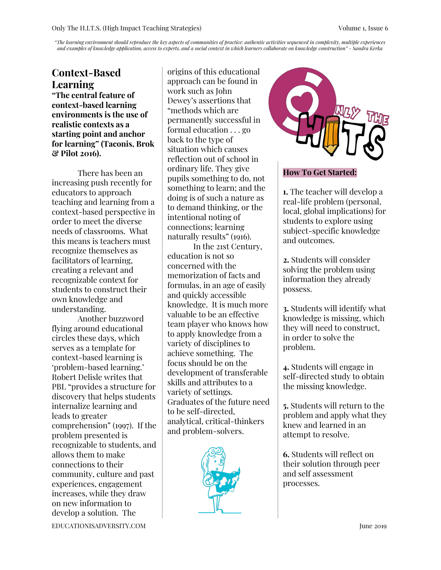"The learning environment should reproduce the key aspects of communities of practice: authentic activities sequenced in complexity, multiple experiences and examples of knowledge application, access to experts, and a social context in which learners collaborate on knowledge construction" - Sandra Kerka

# **Context-Based Learning**

**"The central feature of context-based learning environments is the use of realistic contexts as a starting point and anchor for learning" (Taconis, Brok & Pilot 2016).**

There has been an increasing push recently for educators to approach teaching and learning from a context-based perspective in order to meet the diverse needs of classrooms. What this means is teachers must recognize themselves as facilitators of learning, creating a relevant and recognizable context for students to construct their own knowledge and understanding.

Another buzzword flying around educational circles these days, which serves as a template for context-based learning is 'problem-based learning.' Robert Delisle writes that PBL "provides a structure for discovery that helps students internalize learning and leads to greater comprehension" (1997). If the problem presented is recognizable to students, and allows them to make connections to their community, culture and past experiences, engagement increases, while they draw on new information to develop a solution. The

origins of this educational approach can be found in work such as John Dewey's assertions that "methods which are permanently successful in formal education . . . go back to the type of situation which causes reflection out of school in ordinary life. They give pupils something to do, not something to learn; and the doing is of such a nature as to demand thinking, or the intentional noting of connections; learning naturally results" (1916).

In the 21st Century, education is not so concerned with the memorization of facts and formulas, in an age of easily and quickly accessible knowledge. It is much more valuable to be an effective team player who knows how to apply knowledge from a variety of disciplines to achieve something. The focus should be on the development of transferable skills and attributes to a variety of settings. Graduates of the future need to be self-directed, analytical, critical-thinkers and problem-solvers.





### **How To Get Started:**

**1.** The teacher will develop a real-life problem (personal, local, global implications) for students to explore using subject-specific knowledge and outcomes.

**2.** Students will consider solving the problem using information they already possess.

**3.** Students will identify what knowledge is missing, which they will need to construct, in order to solve the problem.

**4.** Students will engage in self-directed study to obtain the missing knowledge.

**5.** Students will return to the problem and apply what they knew and learned in an attempt to resolve.

**6.** Students will reflect on their solution through peer and self assessment processes.